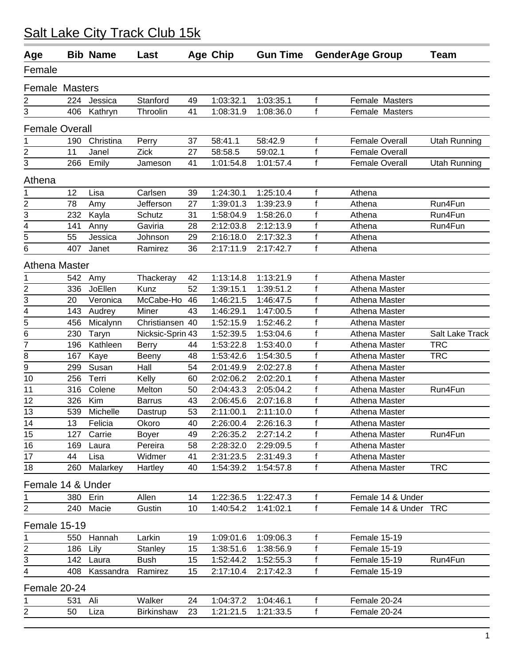| Age                     |                 | <b>Bib Name</b> | Last             |    | <b>Age Chip</b> | <b>Gun Time</b> |              | <b>GenderAge Group</b> | <b>Team</b>         |
|-------------------------|-----------------|-----------------|------------------|----|-----------------|-----------------|--------------|------------------------|---------------------|
| Female                  |                 |                 |                  |    |                 |                 |              |                        |                     |
| <b>Female Masters</b>   |                 |                 |                  |    |                 |                 |              |                        |                     |
| 2                       | 224             | Jessica         | Stanford         | 49 | 1:03:32.1       | 1:03:35.1       | $\mathsf{f}$ | Female Masters         |                     |
| 3                       | 406             | Kathryn         | Throolin         | 41 | 1:08:31.9       | 1:08:36.0       | f            | Female Masters         |                     |
| <b>Female Overall</b>   |                 |                 |                  |    |                 |                 |              |                        |                     |
| 1                       | 190             | Christina       | Perry            | 37 | 58:41.1         | 58:42.9         | f            | Female Overall         | <b>Utah Running</b> |
| $\overline{\mathbf{c}}$ | 11              | Janel           | Zick             | 27 | 58:58.5         | 59:02.1         | f            | <b>Female Overall</b>  |                     |
| 3                       | 266             | Emily           | Jameson          | 41 | 1:01:54.8       | 1:01:57.4       | f            | <b>Female Overall</b>  | <b>Utah Running</b> |
| Athena                  |                 |                 |                  |    |                 |                 |              |                        |                     |
| 1                       | 12              | Lisa            | Carlsen          | 39 | 1:24:30.1       | 1:25:10.4       | f            | Athena                 |                     |
| $\frac{2}{3}$           | 78              | Amy             | Jefferson        | 27 | 1:39:01.3       | 1:39:23.9       | f            | Athena                 | Run4Fun             |
|                         | 232             | Kayla           | Schutz           | 31 | 1:58:04.9       | 1:58:26.0       | f            | Athena                 | Run4Fun             |
| $\overline{4}$          | 141             | Anny            | Gaviria          | 28 | 2:12:03.8       | 2:12:13.9       | f            | Athena                 | Run4Fun             |
| $\overline{5}$          | 55              | Jessica         | Johnson          | 29 | 2:16:18.0       | 2:17:32.3       | f            | Athena                 |                     |
| 6                       | 407             | Janet           | Ramirez          | 36 | 2:17:11.9       | 2:17:42.7       | f            | Athena                 |                     |
| Athena Master           |                 |                 |                  |    |                 |                 |              |                        |                     |
| 1                       | 542             | Amy             | Thackeray        | 42 | 1:13:14.8       | 1:13:21.9       | f            | Athena Master          |                     |
| $\overline{\mathbf{c}}$ | 336             | JoEllen         | Kunz             | 52 | 1:39:15.1       | 1:39:51.2       | f            | Athena Master          |                     |
| 3                       | 20              | Veronica        | McCabe-Ho        | 46 | 1:46:21.5       | 1:46:47.5       | f            | Athena Master          |                     |
| $\overline{4}$          | 143             | Audrey          | Miner            | 43 | 1:46:29.1       | 1:47:00.5       | f            | Athena Master          |                     |
| $\overline{\bf 5}$      | 456             | Micalynn        | Christiansen 40  |    | 1:52:15.9       | 1:52:46.2       | f            | Athena Master          |                     |
| 6                       | 230             | Taryn           | Nicksic-Sprin 43 |    | 1:52:39.5       | 1:53:04.6       | f            | Athena Master          | Salt Lake Track     |
| 7                       | 196             | Kathleen        | <b>Berry</b>     | 44 | 1:53:22.8       | 1:53:40.0       | f            | Athena Master          | <b>TRC</b>          |
| 8                       | 167             | Kaye            | Beeny            | 48 | 1:53:42.6       | 1:54:30.5       | f            | Athena Master          | <b>TRC</b>          |
| 9                       | 299             | Susan           | Hall             | 54 | 2:01:49.9       | 2:02:27.8       | f            | Athena Master          |                     |
| 10                      | 256             | Terri           | Kelly            | 60 | 2:02:06.2       | 2:02:20.1       |              | Athena Master          |                     |
| 11                      | 316             | Colene          | Melton           | 50 | 2:04:43.3       | 2:05:04.2       |              | Athena Master          | Run4Fun             |
| 12                      | 326             | Kim             | <b>Barrus</b>    | 43 | 2:06:45.6       | 2:07:16.8       | f            | Athena Master          |                     |
| 13                      | 539             | Michelle        | Dastrup          | 53 | 2:11:00.1       | 2:11:10.0       | f            | Athena Master          |                     |
| 14                      | 13 <sup>7</sup> | Felicia         | Okoro            | 40 | 2:26:00.4       | 2:26:16.3       | f            | Athena Master          |                     |
| 15                      | 127             | Carrie          | <b>Boyer</b>     | 49 | 2:26:35.2       | 2:27:14.2       |              | Athena Master          | Run4Fun             |
| 16                      | 169             | Laura           | Pereira          | 58 | 2:28:32.0       | 2:29:09.5       | f            | Athena Master          |                     |
| 17                      | 44              | Lisa            | Widmer           | 41 | 2:31:23.5       | 2:31:49.3       | f            | Athena Master          |                     |
| 18                      | 260             | Malarkey        | Hartley          | 40 | 1:54:39.2       | 1:54:57.8       | f            | Athena Master          | <b>TRC</b>          |
| Female 14 & Under       |                 |                 |                  |    |                 |                 |              |                        |                     |
| 1                       | 380             | Erin            | Allen            | 14 | 1:22:36.5       | 1:22:47.3       | f            | Female 14 & Under      |                     |
| 2                       | 240             | Macie           | Gustin           | 10 | 1:40:54.2       | 1:41:02.1       | f            | Female 14 & Under TRC  |                     |
| Female 15-19            |                 |                 |                  |    |                 |                 |              |                        |                     |
| 1                       | 550             | Hannah          | Larkin           | 19 | 1:09:01.6       | 1:09:06.3       | f            | Female 15-19           |                     |
| $\frac{2}{3}$           | 186             | Lily            | Stanley          | 15 | 1:38:51.6       | 1:38:56.9       | f            | Female 15-19           |                     |
|                         | 142             | Laura           | <b>Bush</b>      | 15 | 1:52:44.2       | 1:52:55.3       | f            | Female 15-19           | Run4Fun             |
| 4                       | 408             | Kassandra       | Ramirez          | 15 | 2:17:10.4       | 2:17:42.3       | f            | Female 15-19           |                     |
| Female 20-24            |                 |                 |                  |    |                 |                 |              |                        |                     |
| 1                       | 531             | Ali             | Walker           | 24 | 1:04:37.2       | 1:04:46.1       |              | Female 20-24           |                     |
| $\overline{c}$          | 50              | Liza            | Birkinshaw       | 23 | 1:21:21.5       | 1:21:33.5       | f            | Female 20-24           |                     |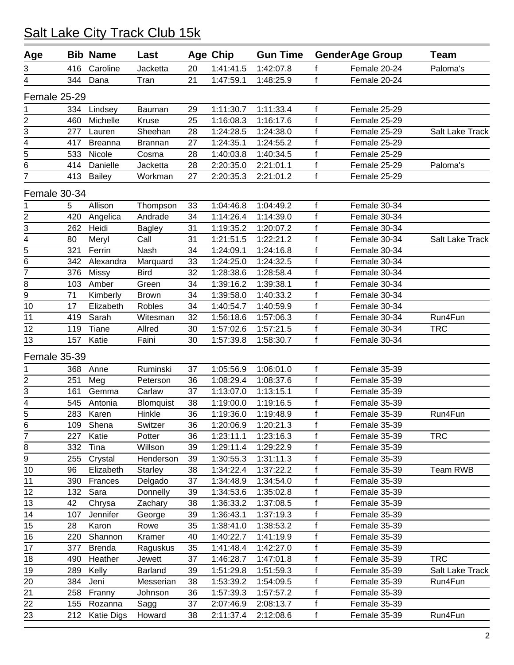#### 416 Caroline Jacketta 20 1:41:41.5 1:42:07.8 f Female 20-24 Paloma's 344 Dana Tran 21 1:47:59.1 1:48:25.9 f Female 20-24 Female 25-29 334 Lindsey Bauman 29 1:11:30.7 1:11:33.4 f Female 25-29 460 Michelle Kruse 25 1:16:08.3 1:16:17.6 f Female 25-29 277 Lauren Sheehan 28 1:24:28.5 1:24:38.0 f Female 25-29 Salt Lake Track 417 Breanna Brannan 27 1:24:35.1 1:24:55.2 f Female 25-29 533 Nicole Cosma 28 1:40:03.8 1:40:34.5 f Female 25-29 414 Danielle Jacketta 28 2:20:35.0 2:21:01.1 f Female 25-29 Paloma's 413 Bailey Workman 27 2:20:35.3 2:21:01.2 f Female 25-29 Female 30-34 5 Allison Thompson 33 1:04:46.8 1:04:49.2 f Female 30-34 420 Angelica Andrade 34 1:14:26.4 1:14:39.0 f Female 30-34 262 Heidi Bagley 31 1:19:35.2 1:20:07.2 f Female 30-34 80 Meryl Call 31 1:21:51.5 1:22:21.2 f Female 30-34 Salt Lake Track 321 Ferrin Nash 34 1:24:09.1 1:24:16.8 f Female 30-34 342 Alexandra Marquard 33 1:24:25.0 1:24:32.5 f Female 30-34 376 Missy Bird 32 1:28:38.6 1:28:58.4 f Female 30-34 103 Amber Green 34 1:39:16.2 1:39:38.1 f Female 30-34 71 Kimberly Brown 34 1:39:58.0 1:40:33.2 f Female 30-34 17 Elizabeth Robles 34 1:40:54.7 1:40:59.9 f Female 30-34 419 Sarah Witesman 32 1:56:18.6 1:57:06.3 f Female 30-34 Run4Fun 119 Tiane Allred 30 1:57:02.6 1:57:21.5 f Female 30-34 TRC 157 Katie Faini 30 1:57:39.8 1:58:30.7 f Female 30-34 Female 35-39 368 Anne Ruminski 37 1:05:56.9 1:06:01.0 f Female 35-39 2 251 Meg 2 Peterson 36 1:08:29.4 1:08:37.6 f Female 35-39<br>3 161 Gemma Carlaw 37 1:13:07.0 1:13:15.1 f Female 35-39 161 Gemma Carlaw 37 1:13:07.0 1:13:15.1 f Female 35-39 545 Antonia Blomquist 38 1:19:00.0 1:19:16.5 f Female 35-39 283 Karen Hinkle 36 1:19:36.0 1:19:48.9 f Female 35-39 Run4Fun 109 Shena Switzer 36 1:20:06.9 1:20:21.3 f Female 35-39 227 Katie Potter 36 1:23:11.1 1:23:16.3 f Female 35-39 TRC 332 Tina Willson 39 1:29:11.4 1:29:22.9 f Female 35-39 255 Crystal Henderson 39 1:30:55.3 1:31:11.3 f Female 35-39 96 Elizabeth Starley 38 1:34:22.4 1:37:22.2 f Female 35-39 Team RWB 390 Frances Delgado 37 1:34:48.9 1:34:54.0 f Female 35-39 132 Sara Donnelly 39 1:34:53.6 1:35:02.8 f Female 35-39 42 Chrysa Zachary 38 1:36:33.2 1:37:08.5 f Female 35-39 107 Jennifer George 39 1:36:43.1 1:37:19.3 f Female 35-39 28 Karon Rowe 35 1:38:41.0 1:38:53.2 f Female 35-39 220 Shannon Kramer 40 1:40:22.7 1:41:19.9 f Female 35-39 377 Brenda Raguskus 35 1:41:48.4 1:42:27.0 f Female 35-39 490 Heather Jewett 37 1:46:28.7 1:47:01.8 f Female 35-39 TRC 289 Kelly Barland 39 1:51:29.8 1:51:59.3 f Female 35-39 Salt Lake Track 384 Jeni Messerian 38 1:53:39.2 1:54:09.5 f Female 35-39 Run4Fun 258 Franny Johnson 36 1:57:39.3 1:57:57.2 f Female 35-39 155 Rozanna Sagg 37 2:07:46.9 2:08:13.7 f Female 35-39 212 Katie Digs Howard 38 2:11:37.4 2:12:08.6 f Female 35-39 Run4Fun **Age Bib Name Last Age Chip Gun Time GenderAge Group Team**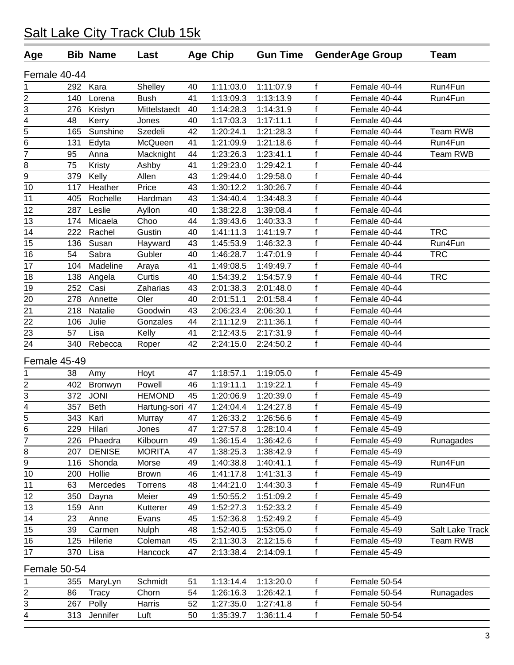| Age            |     | <b>Bib Name</b> | Last          |    | <b>Age Chip</b> | <b>Gun Time</b> |              | <b>GenderAge Group</b> | <b>Team</b>     |
|----------------|-----|-----------------|---------------|----|-----------------|-----------------|--------------|------------------------|-----------------|
| Female 40-44   |     |                 |               |    |                 |                 |              |                        |                 |
| 1              | 292 | Kara            | Shelley       | 40 | 1:11:03.0       | 1:11:07.9       | $\mathsf{f}$ | Female 40-44           | Run4Fun         |
| $\overline{2}$ | 140 | Lorena          | <b>Bush</b>   | 41 | 1:13:09.3       | 1:13:13.9       | $\mathsf{f}$ | Female 40-44           | Run4Fun         |
| 3              | 276 | Kristyn         | Mittelstaedt  | 40 | 1:14:28.3       | 1:14:31.9       | f            | Female 40-44           |                 |
| 4              | 48  | Kerry           | Jones         | 40 | 1:17:03.3       | 1:17:11.1       | $\mathsf{f}$ | Female 40-44           |                 |
| $\overline{5}$ | 165 | Sunshine        | Szedeli       | 42 | 1:20:24.1       | 1:21:28.3       | f            | Female 40-44           | Team RWB        |
| $\overline{6}$ | 131 | Edyta           | McQueen       | 41 | 1:21:09.9       | 1:21:18.6       | $\mathsf{f}$ | Female 40-44           | Run4Fun         |
| 7              | 95  | Anna            | Macknight     | 44 | 1:23:26.3       | 1:23:41.1       | $\mathsf{f}$ | Female 40-44           | <b>Team RWB</b> |
| 8              | 75  | Kristy          | Ashby         | 41 | 1:29:23.0       | 1:29:42.1       | $\mathsf{f}$ | Female 40-44           |                 |
| $\overline{9}$ | 379 | Kelly           | Allen         | 43 | 1:29:44.0       | 1:29:58.0       | $\mathsf{f}$ | Female 40-44           |                 |
| 10             | 117 | Heather         | Price         | 43 | 1:30:12.2       | 1:30:26.7       | $\mathsf{f}$ | Female 40-44           |                 |
| 11             | 405 | Rochelle        | Hardman       | 43 | 1:34:40.4       | 1:34:48.3       | f            | Female 40-44           |                 |
| 12             | 287 | Leslie          | Ayllon        | 40 | 1:38:22.8       | 1:39:08.4       | $\mathsf{f}$ | Female 40-44           |                 |
| 13             | 174 | Micaela         | Choo          | 44 | 1:39:43.6       | 1:40:33.3       | $\mathsf{f}$ | Female 40-44           |                 |
| 14             | 222 | Rachel          | Gustin        | 40 | 1:41:11.3       | 1:41:19.7       | $\mathsf{f}$ | Female 40-44           | <b>TRC</b>      |
| 15             | 136 | Susan           | Hayward       | 43 | 1:45:53.9       | 1:46:32.3       | $\mathsf{f}$ | Female 40-44           | Run4Fun         |
| 16             | 54  | Sabra           | Gubler        | 40 | 1:46:28.7       | 1:47:01.9       | f            | Female 40-44           | <b>TRC</b>      |
| 17             | 104 | Madeline        | Araya         | 41 | 1:49:08.5       | 1:49:49.7       | $\mathsf{f}$ | Female 40-44           |                 |
| 18             | 138 | Angela          | Curtis        | 40 | 1:54:39.2       | 1:54:57.9       | f            | Female 40-44           | <b>TRC</b>      |
| 19             | 252 | Casi            | Zaharias      | 43 | 2:01:38.3       | 2:01:48.0       | f            | Female 40-44           |                 |
| 20             | 278 | Annette         | Oler          | 40 | 2:01:51.1       | 2:01:58.4       | $\mathsf{f}$ | Female 40-44           |                 |
| 21             | 218 | Natalie         | Goodwin       | 43 | 2:06:23.4       | 2:06:30.1       | f            | Female 40-44           |                 |
| 22             | 106 | Julie           | Gonzales      | 44 | 2:11:12.9       | 2:11:36.1       | $\mathsf{f}$ | Female 40-44           |                 |
| 23             | 57  | Lisa            | Kelly         | 41 | 2:12:43.5       | 2:17:31.9       | $\mathsf{f}$ | Female 40-44           |                 |
| 24             | 340 | Rebecca         | Roper         | 42 | 2:24:15.0       | 2:24:50.2       | f            | Female 40-44           |                 |
| Female 45-49   |     |                 |               |    |                 |                 |              |                        |                 |
| 1              | 38  | Amy             | Hoyt          | 47 | 1:18:57.1       | 1:19:05.0       | f            | Female 45-49           |                 |
| 2              | 402 | Bronwyn         | Powell        | 46 | 1:19:11.1       | 1:19:22.1       | $\mathsf{f}$ | Female 45-49           |                 |
| 3              | 372 | <b>JONI</b>     | <b>HEMOND</b> | 45 | 1:20:06.9       | 1:20:39.0       | f            | Female 45-49           |                 |
| $\frac{4}{5}$  | 357 | <b>Beth</b>     | Hartung-sori  | 47 | 1:24:04.4       | 1:24:27.8       | $\mathsf{f}$ | Female 45-49           |                 |
|                | 343 | Kari            | Murray        | 47 | 1:26:33.2       | 1:26:56.6       | f            | Female 45-49           |                 |
| 6              | 229 | Hilari          | Jones         | 47 | 1:27:57.8       | 1:28:10.4       | f            | Female 45-49           |                 |
| $\overline{7}$ | 226 | Phaedra         | Kilbourn      | 49 | 1:36:15.4       | 1:36:42.6       | f            | Female 45-49           | Runagades       |
| 8              | 207 | <b>DENISE</b>   | <b>MORITA</b> | 47 | 1:38:25.3       | 1:38:42.9       | f            | Female 45-49           |                 |
| 9              | 116 | Shonda          | Morse         | 49 | 1:40:38.8       | 1:40:41.1       | $\mathsf f$  | Female 45-49           | Run4Fun         |
| 10             | 200 | Hollie          | <b>Brown</b>  | 46 | 1:41:17.8       | 1:41:31.3       | $\mathsf{f}$ | Female 45-49           |                 |
| 11             | 63  | Mercedes        | Torrens       | 48 | 1:44:21.0       | 1:44:30.3       | $\mathsf f$  | Female 45-49           | Run4Fun         |
| 12             | 350 | Dayna           | Meier         | 49 | 1:50:55.2       | 1:51:09.2       | f            | Female 45-49           |                 |
| 13             | 159 | Ann             | Kutterer      | 49 | 1:52:27.3       | 1:52:33.2       | $\mathsf{f}$ | Female 45-49           |                 |
| 14             | 23  | Anne            | Evans         | 45 | 1:52:36.8       | 1:52:49.2       | f            | Female 45-49           |                 |
| 15             | 39  | Carmen          | <b>Nulph</b>  | 48 | 1:52:40.5       | 1:53:05.0       | $\mathsf{f}$ | Female 45-49           | Salt Lake Track |
| 16             | 125 | Hilerie         | Coleman       | 45 | 2:11:30.3       | 2:12:15.6       | f            | Female 45-49           | Team RWB        |
| 17             | 370 | Lisa            | Hancock       | 47 | 2:13:38.4       | 2:14:09.1       | f            | Female 45-49           |                 |
| Female 50-54   |     |                 |               |    |                 |                 |              |                        |                 |
| 1              | 355 | MaryLyn         | Schmidt       | 51 | 1:13:14.4       | 1:13:20.0       | f            | Female 50-54           |                 |
| 2              | 86  | Tracy           | Chorn         | 54 | 1:26:16.3       | 1:26:42.1       | f            | Female 50-54           | Runagades       |
| 3              | 267 | Polly           | Harris        | 52 | 1:27:35.0       | 1:27:41.8       | $\mathsf f$  | Female 50-54           |                 |
| 4              | 313 | Jennifer        | Luft          | 50 | 1:35:39.7       | 1:36:11.4       | f            | Female 50-54           |                 |
|                |     |                 |               |    |                 |                 |              |                        |                 |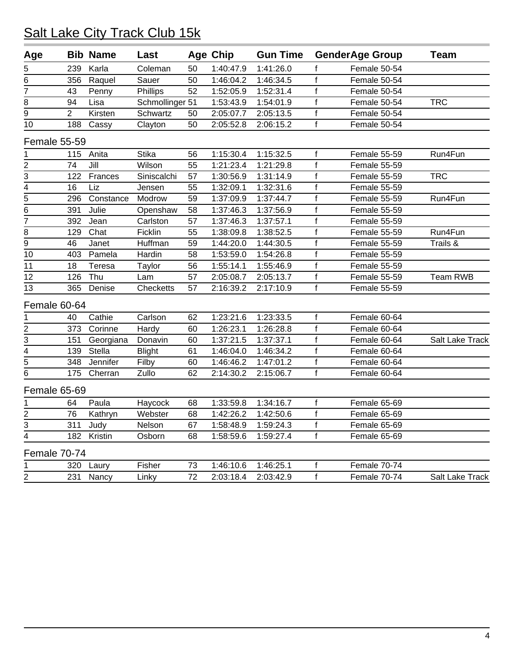| Age                 |                | <b>Bib Name</b> | Last            |    | <b>Age Chip</b> | <b>Gun Time</b> |              | <b>GenderAge Group</b> | <b>Team</b>     |
|---------------------|----------------|-----------------|-----------------|----|-----------------|-----------------|--------------|------------------------|-----------------|
| 5                   | 239            | Karla           | Coleman         | 50 | 1:40:47.9       | 1:41:26.0       | f            | Female 50-54           |                 |
| 6                   | 356            | Raquel          | Sauer           | 50 | 1:46:04.2       | 1:46:34.5       | f            | Female 50-54           |                 |
| $\overline{7}$      | 43             | Penny           | Phillips        | 52 | 1:52:05.9       | 1:52:31.4       | f            | Female 50-54           |                 |
| 8                   | 94             | Lisa            | Schmollinger 51 |    | 1:53:43.9       | 1:54:01.9       | f            | Female 50-54           | <b>TRC</b>      |
| 9                   | $\overline{2}$ | Kirsten         | Schwartz        | 50 | 2:05:07.7       | 2:05:13.5       | $\mathsf{f}$ | Female 50-54           |                 |
| 10                  | 188            | Cassy           | Clayton         | 50 | 2:05:52.8       | 2:06:15.2       | $\mathsf{f}$ | Female 50-54           |                 |
| <b>Female 55-59</b> |                |                 |                 |    |                 |                 |              |                        |                 |
| 1                   | 115            | Anita           | <b>Stika</b>    | 56 | 1:15:30.4       | 1:15:32.5       | $\mathsf{f}$ | Female 55-59           | Run4Fun         |
| $\overline{c}$      | 74             | Jill            | Wilson          | 55 | 1:21:23.4       | 1:21:29.8       | $\mathsf{f}$ | Female 55-59           |                 |
| 3                   | 122            | Frances         | Siniscalchi     | 57 | 1:30:56.9       | 1:31:14.9       | f            | Female 55-59           | <b>TRC</b>      |
| $\overline{4}$      | 16             | Liz             | Jensen          | 55 | 1:32:09.1       | 1:32:31.6       | f            | Female 55-59           |                 |
| $\overline{5}$      | 296            | Constance       | Modrow          | 59 | 1:37:09.9       | 1:37:44.7       | f            | Female 55-59           | Run4Fun         |
| $\overline{6}$      | 391            | Julie           | Openshaw        | 58 | 1:37:46.3       | 1:37:56.9       | f            | Female 55-59           |                 |
| 7                   | 392            | Jean            | Carlston        | 57 | 1:37:46.3       | 1:37:57.1       | f            | Female 55-59           |                 |
| 8                   | 129            | Chat            | Ficklin         | 55 | 1:38:09.8       | 1:38:52.5       | f            | Female 55-59           | Run4Fun         |
| $\overline{9}$      | 46             | Janet           | Huffman         | 59 | 1:44:20.0       | 1:44:30.5       | f            | Female 55-59           | Trails &        |
| 10                  | 403            | Pamela          | Hardin          | 58 | 1:53:59.0       | 1:54:26.8       | f            | Female 55-59           |                 |
| 11                  | 18             | Teresa          | Taylor          | 56 | 1:55:14.1       | 1:55:46.9       | $\mathsf{f}$ | Female 55-59           |                 |
| 12                  | 126            | Thu             | Lam             | 57 | 2:05:08.7       | 2:05:13.7       | f            | Female 55-59           | Team RWB        |
| 13                  | 365            | Denise          | Checketts       | 57 | 2:16:39.2       | 2:17:10.9       | $\mathsf{f}$ | Female 55-59           |                 |
| Female 60-64        |                |                 |                 |    |                 |                 |              |                        |                 |
| 1                   | 40             | Cathie          | Carlson         | 62 | 1:23:21.6       | 1:23:33.5       | f            | Female 60-64           |                 |
| 2                   | 373            | Corinne         | Hardy           | 60 | 1:26:23.1       | 1:26:28.8       | $\mathsf{f}$ | Female 60-64           |                 |
| 3                   | 151            | Georgiana       | Donavin         | 60 | 1:37:21.5       | 1:37:37.1       | f            | Female 60-64           | Salt Lake Track |
| 4                   | 139            | Stella          | <b>Blight</b>   | 61 | 1:46:04.0       | 1:46:34.2       | f            | Female 60-64           |                 |
| 5                   | 348            | Jennifer        | Filby           | 60 | 1:46:46.2       | 1:47:01.2       | f            | Female 60-64           |                 |
| $\overline{6}$      | 175            | Cherran         | Zullo           | 62 | 2:14:30.2       | 2:15:06.7       | f            | Female 60-64           |                 |
| Female 65-69        |                |                 |                 |    |                 |                 |              |                        |                 |
| 1                   | 64             | Paula           | Haycock         | 68 | 1:33:59.8       | 1:34:16.7       | $\mathsf{f}$ | Female 65-69           |                 |
| 2                   | 76             | Kathryn         | Webster         | 68 | 1:42:26.2       | 1:42:50.6       | f            | Female 65-69           |                 |
|                     | 311            | Judy            | Nelson          | 67 | 1:58:48.9       | 1:59:24.3       | Ť.           | Female 65-69           |                 |
| $\frac{3}{4}$       | 182            | Kristin         | Osborn          | 68 | 1:58:59.6       | 1:59:27.4       | $\mathsf{f}$ | Female 65-69           |                 |
| Female 70-74        |                |                 |                 |    |                 |                 |              |                        |                 |
| 1                   | 320            | Laury           | Fisher          | 73 | 1:46:10.6       | 1:46:25.1       | f            | Female 70-74           |                 |
| $\overline{2}$      | 231            | Nancy           | Linky           | 72 | 2:03:18.4       | 2:03:42.9       | $\mathsf f$  | Female 70-74           | Salt Lake Track |
|                     |                |                 |                 |    |                 |                 |              |                        |                 |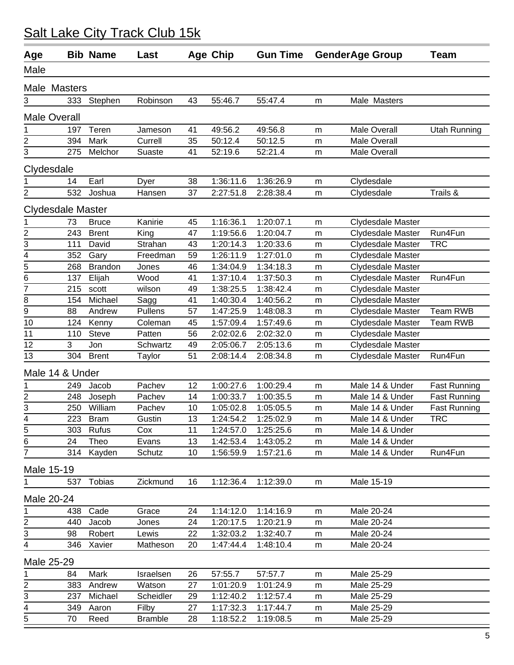| Age            |                          | <b>Bib Name</b> | Last           |    | <b>Age Chip</b> | <b>Gun Time</b> |   | <b>GenderAge Group</b> | <b>Team</b>         |
|----------------|--------------------------|-----------------|----------------|----|-----------------|-----------------|---|------------------------|---------------------|
| Male           |                          |                 |                |    |                 |                 |   |                        |                     |
|                | Male Masters             |                 |                |    |                 |                 |   |                        |                     |
| 3              | 333                      | Stephen         | Robinson       | 43 | 55:46.7         | 55:47.4         | m | Male Masters           |                     |
|                | <b>Male Overall</b>      |                 |                |    |                 |                 |   |                        |                     |
| 1              | 197                      | Teren           | Jameson        | 41 | 49:56.2         | 49:56.8         | m | <b>Male Overall</b>    | <b>Utah Running</b> |
| $\overline{c}$ | 394                      | Mark            | Currell        | 35 | 50:12.4         | 50:12.5         | m | <b>Male Overall</b>    |                     |
| $\overline{3}$ | 275                      | Melchor         | Suaste         | 41 | 52:19.6         | 52:21.4         | m | <b>Male Overall</b>    |                     |
|                | Clydesdale               |                 |                |    |                 |                 |   |                        |                     |
|                | 14                       | Earl            | Dyer           | 38 | 1:36:11.6       | 1:36:26.9       | m | Clydesdale             |                     |
| $\overline{c}$ | 532                      | Joshua          | Hansen         | 37 | 2:27:51.8       | 2:28:38.4       | m | Clydesdale             | Trails &            |
|                | <b>Clydesdale Master</b> |                 |                |    |                 |                 |   |                        |                     |
| 1              | 73                       | <b>Bruce</b>    | Kanirie        | 45 | 1:16:36.1       | 1:20:07.1       | m | Clydesdale Master      |                     |
| $\frac{2}{3}$  | 243                      | <b>Brent</b>    | King           | 47 | 1:19:56.6       | 1:20:04.7       | m | Clydesdale Master      | Run4Fun             |
|                | 111                      | David           | Strahan        | 43 | 1:20:14.3       | 1:20:33.6       | m | Clydesdale Master      | <b>TRC</b>          |
| $rac{4}{5}$    | 352                      | Gary            | Freedman       | 59 | 1:26:11.9       | 1:27:01.0       | m | Clydesdale Master      |                     |
|                | 268                      | <b>Brandon</b>  | Jones          | 46 | 1:34:04.9       | 1:34:18.3       | m | Clydesdale Master      |                     |
| 6              | 137                      | Elijah          | Wood           | 41 | 1:37:10.4       | 1:37:50.3       | m | Clydesdale Master      | Run4Fun             |
| $\overline{7}$ | 215                      | scott           | wilson         | 49 | 1:38:25.5       | 1:38:42.4       | m | Clydesdale Master      |                     |
| 8              | 154                      | Michael         | Sagg           | 41 | 1:40:30.4       | 1:40:56.2       | m | Clydesdale Master      |                     |
| 9              | 88                       | Andrew          | Pullens        | 57 | 1:47:25.9       | 1:48:08.3       | m | Clydesdale Master      | Team RWB            |
| 10             | 124                      | Kenny           | Coleman        | 45 | 1:57:09.4       | 1:57:49.6       | m | Clydesdale Master      | <b>Team RWB</b>     |
| 11             | 110                      | <b>Steve</b>    | Patten         | 56 | 2:02:02.6       | 2:02:32.0       | m | Clydesdale Master      |                     |
| 12             | 3                        | Jon             | Schwartz       | 49 | 2:05:06.7       | 2:05:13.6       | m | Clydesdale Master      |                     |
| 13             | 304                      | <b>Brent</b>    | Taylor         | 51 | 2:08:14.4       | 2:08:34.8       | m | Clydesdale Master      | Run4Fun             |
|                | Male 14 & Under          |                 |                |    |                 |                 |   |                        |                     |
| 1              | 249                      | Jacob           | Pachev         | 12 | 1:00:27.6       | 1:00:29.4       | m | Male 14 & Under        | <b>Fast Running</b> |
| $\frac{2}{3}$  | 248                      | Joseph          | Pachev         | 14 | 1:00:33.7       | 1:00:35.5       | m | Male 14 & Under        | <b>Fast Running</b> |
|                | 250                      | William         | Pachev         | 10 | 1:05:02.8       | 1:05:05.5       | m | Male 14 & Under        | <b>Fast Running</b> |
| $\overline{4}$ | 223                      | <b>Bram</b>     | Gustin         | 13 | 1:24:54.2       | 1:25:02.9       | m | Male 14 & Under        | <b>TRC</b>          |
| 5              |                          | 303 Rufus       | Cox            | 11 | 1:24:57.0       | 1:25:25.6       | m | Male 14 & Under        |                     |
| 6              | 24                       | Theo            | Evans          | 13 | 1:42:53.4       | 1:43:05.2       | m | Male 14 & Under        |                     |
| $\overline{7}$ | 314                      | Kayden          | Schutz         | 10 | 1:56:59.9       | 1:57:21.6       | m | Male 14 & Under        | Run4Fun             |
|                | Male 15-19               |                 |                |    |                 |                 |   |                        |                     |
|                | 537                      | <b>Tobias</b>   | Zickmund       | 16 | 1:12:36.4       | 1:12:39.0       | m | Male 15-19             |                     |
|                | Male 20-24               |                 |                |    |                 |                 |   |                        |                     |
| 1              | 438                      | Cade            | Grace          | 24 | 1:14:12.0       | 1:14:16.9       | m | Male 20-24             |                     |
| 2              | 440                      | Jacob           | Jones          | 24 | 1:20:17.5       | 1:20:21.9       | m | Male 20-24             |                     |
| 3              | 98                       | Robert          | Lewis          | 22 | 1:32:03.2       | 1:32:40.7       | m | Male 20-24             |                     |
| 4              | 346                      | Xavier          | Matheson       | 20 | 1:47:44.4       | 1:48:10.4       | m | Male 20-24             |                     |
|                | Male 25-29               |                 |                |    |                 |                 |   |                        |                     |
| 1              | 84                       | Mark            | Israelsen      | 26 | 57:55.7         | 57:57.7         | m | Male 25-29             |                     |
| 2              | 383                      | Andrew          | Watson         | 27 | 1:01:20.9       | 1:01:24.9       | m | Male 25-29             |                     |
| $\overline{3}$ | 237                      | Michael         | Scheidler      | 29 | 1:12:40.2       | 1:12:57.4       | m | Male 25-29             |                     |
| $\frac{4}{5}$  | 349                      | Aaron           | Filby          | 27 | 1:17:32.3       | 1:17:44.7       | m | Male 25-29             |                     |
|                | 70                       | Reed            | <b>Bramble</b> | 28 | 1:18:52.2       | 1:19:08.5       | m | Male 25-29             |                     |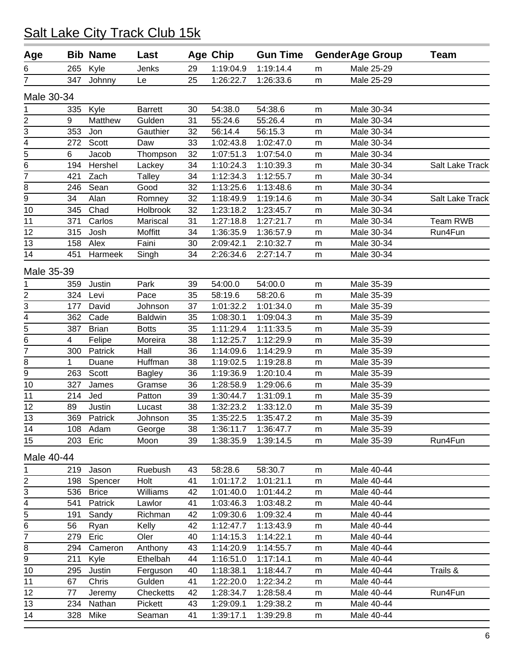| Age                         |     | <b>Bib Name</b> | Last           |    | <b>Age Chip</b> | <b>Gun Time</b> |           | <b>GenderAge Group</b> | <b>Team</b>     |
|-----------------------------|-----|-----------------|----------------|----|-----------------|-----------------|-----------|------------------------|-----------------|
| 6                           | 265 | Kyle            | Jenks          | 29 | 1:19:04.9       | 1:19:14.4       | m         | Male 25-29             |                 |
| 7                           | 347 | Johnny          | Le             | 25 | 1:26:22.7       | 1:26:33.6       | m         | Male 25-29             |                 |
| Male 30-34                  |     |                 |                |    |                 |                 |           |                        |                 |
| 1                           | 335 | Kyle            | <b>Barrett</b> | 30 | 54:38.0         | 54:38.6         | m         | Male 30-34             |                 |
| $\overline{2}$              | 9   | Matthew         | Gulden         | 31 | 55:24.6         | 55:26.4         | m         | Male 30-34             |                 |
|                             | 353 | Jon             | Gauthier       | 32 | 56:14.4         | 56:15.3         | m         | Male 30-34             |                 |
| $rac{3}{4}$                 | 272 | Scott           | Daw            | 33 | 1:02:43.8       | 1:02:47.0       | m         | Male 30-34             |                 |
| $\overline{5}$              | 6   | Jacob           | Thompson       | 32 | 1:07:51.3       | 1:07:54.0       | m         | Male 30-34             |                 |
| $\frac{1}{6}$               | 194 | Hershel         | Lackey         | 34 | 1:10:24.3       | 1:10:39.3       | m         | Male 30-34             | Salt Lake Track |
| 7                           | 421 | Zach            | Talley         | 34 | 1:12:34.3       | 1:12:55.7       | m         | Male 30-34             |                 |
| 8                           | 246 | Sean            | Good           | 32 | 1:13:25.6       | 1:13:48.6       | m         | Male 30-34             |                 |
| $\overline{9}$              | 34  | Alan            | Romney         | 32 | 1:18:49.9       | 1:19:14.6       | m         | Male 30-34             | Salt Lake Track |
| 10                          | 345 | Chad            | Holbrook       | 32 | 1:23:18.2       | 1:23:45.7       | m         | Male 30-34             |                 |
| 11                          | 371 | Carlos          | Mariscal       | 31 | 1:27:18.8       | 1:27:21.7       | m         | Male 30-34             | Team RWB        |
| 12                          | 315 | Josh            | Moffitt        | 34 | 1:36:35.9       | 1:36:57.9       | m         | Male 30-34             | Run4Fun         |
| 13                          | 158 | Alex            | Faini          | 30 | 2:09:42.1       | 2:10:32.7       | m         | Male 30-34             |                 |
| 14                          | 451 | Harmeek         | Singh          | 34 | 2:26:34.6       | 2:27:14.7       | m         | Male 30-34             |                 |
| Male 35-39                  |     |                 |                |    |                 |                 |           |                        |                 |
| 1                           | 359 | Justin          | Park           | 39 | 54:00.0         | 54:00.0         | ${\sf m}$ | Male 35-39             |                 |
|                             | 324 | Levi            | Pace           | 35 | 58:19.6         | 58:20.6         | m         | Male 35-39             |                 |
| $\frac{2}{3} - \frac{4}{5}$ | 177 | David           | Johnson        | 37 | 1:01:32.2       | 1:01:34.0       | m         | Male 35-39             |                 |
|                             | 362 | Cade            | <b>Baldwin</b> | 35 | 1:08:30.1       | 1:09:04.3       | m         | Male 35-39             |                 |
|                             | 387 | <b>Brian</b>    | <b>Botts</b>   | 35 | 1:11:29.4       | 1:11:33.5       | m         | Male 35-39             |                 |
| $\overline{6}$              | 4   | Felipe          | Moreira        | 38 | 1:12:25.7       | 1:12:29.9       | m         | Male 35-39             |                 |
| $\overline{7}$              | 300 | Patrick         | Hall           | 36 | 1:14:09.6       | 1:14:29.9       | m         | Male 35-39             |                 |
| 8                           | 1   | Duane           | Huffman        | 38 | 1:19:02.5       | 1:19:28.8       | m         | Male 35-39             |                 |
| $\overline{9}$              | 263 | Scott           | <b>Bagley</b>  | 36 | 1:19:36.9       | 1:20:10.4       | m         | Male 35-39             |                 |
| 10                          | 327 | James           | Gramse         | 36 | 1:28:58.9       | 1:29:06.6       | m         | Male 35-39             |                 |
| 11                          | 214 | Jed             | Patton         | 39 | 1:30:44.7       | 1:31:09.1       | m         | Male 35-39             |                 |
| 12                          | 89  | Justin          | Lucast         | 38 | 1:32:23.2       | 1:33:12.0       | m         | Male 35-39             |                 |
| 13                          | 369 | Patrick         | Johnson        | 35 | 1:35:22.5       | 1:35:47.2       | m         | Male 35-39             |                 |
| 14                          |     | 108 Adam        | George         | 38 | 1:36:11.7       | 1:36:47.7       | m         | Male 35-39             |                 |
| 15                          | 203 | Eric            | Moon           | 39 | 1:38:35.9       | 1:39:14.5       | m         | Male 35-39             | Run4Fun         |
| Male 40-44                  |     |                 |                |    |                 |                 |           |                        |                 |
| 1                           | 219 | Jason           | Ruebush        | 43 | 58:28.6         | 58:30.7         | m         | Male 40-44             |                 |
| $\overline{2}$              | 198 | Spencer         | Holt           | 41 | 1:01:17.2       | 1:01:21.1       | ${\sf m}$ | Male 40-44             |                 |
| 3                           | 536 | <b>Brice</b>    | Williams       | 42 | 1:01:40.0       | 1:01:44.2       | m         | Male 40-44             |                 |
| 4                           | 541 | Patrick         | Lawlor         | 41 | 1:03:46.3       | 1:03:48.2       | m         | Male 40-44             |                 |
| $\overline{5}$              | 191 | Sandy           | Richman        | 42 | 1:09:30.6       | 1:09:32.4       | m         | Male 40-44             |                 |
| $\overline{6}$              | 56  | Ryan            | Kelly          | 42 | 1:12:47.7       | 1:13:43.9       | m         | Male 40-44             |                 |
| 7                           | 279 | Eric            | Oler           | 40 | 1:14:15.3       | 1:14:22.1       | m         | Male 40-44             |                 |
| 8                           | 294 | Cameron         | Anthony        | 43 | 1:14:20.9       | 1:14:55.7       | m         | Male 40-44             |                 |
| 9                           | 211 | Kyle            | Ethelbah       | 44 | 1:16:51.0       | 1:17:14.1       | m         | Male 40-44             |                 |
| 10                          | 295 | Justin          | Ferguson       | 40 | 1:18:38.1       | 1:18:44.7       | m         | Male 40-44             | Trails &        |
| 11                          | 67  | Chris           | Gulden         | 41 | 1:22:20.0       | 1:22:34.2       | m         | Male 40-44             |                 |
| 12                          | 77  | Jeremy          | Checketts      | 42 | 1:28:34.7       | 1:28:58.4       | m         | Male 40-44             | Run4Fun         |
| 13                          | 234 | Nathan          | Pickett        | 43 | 1:29:09.1       | 1:29:38.2       | m         | Male 40-44             |                 |
| 14                          | 328 | Mike            | Seaman         | 41 | 1:39:17.1       | 1:39:29.8       | m         | Male 40-44             |                 |
|                             |     |                 |                |    |                 |                 |           |                        |                 |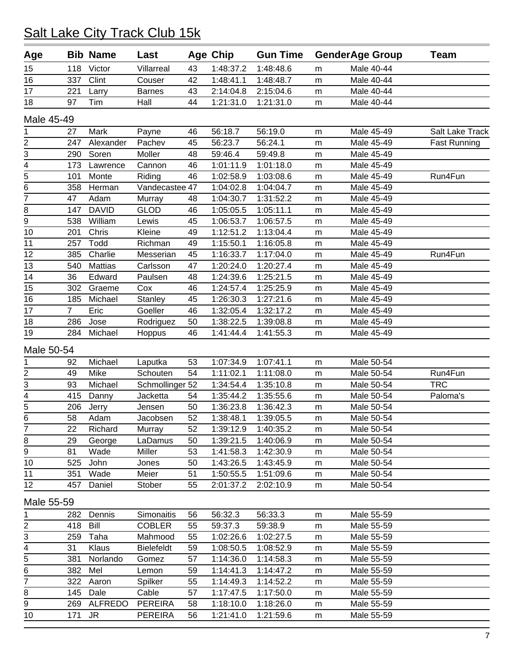| Victor<br>1:48:37.2<br>Male 40-44<br>15<br>118<br>Villarreal<br>43<br>1:48:48.6<br>m<br>16<br>Clint<br>42<br>1:48:41.1<br>337<br>Couser<br>1:48:48.7<br>Male 40-44<br>m<br>17<br>43<br>2:14:04.8<br>2:15:04.6<br>Male 40-44<br>221<br>Larry<br><b>Barnes</b><br>m<br>18<br>97<br>44<br>1:21:31.0<br>Tim<br>Hall<br>1:21:31.0<br>Male 40-44<br>m<br>Male 45-49<br>Mark<br>56:18.7<br>56:19.0<br>Male 45-49<br>Payne<br>46<br>Salt Lake Track<br>1<br>27<br>m<br>$\frac{2}{3}$ $\frac{1}{4}$<br>Alexander<br>Pachev<br>56:24.1<br>247<br>45<br>56:23.7<br>Male 45-49<br><b>Fast Running</b><br>m<br>290<br>Soren<br>Moller<br>48<br>59:46.4<br>59:49.8<br>Male 45-49<br>m<br>1:01:11.9<br>173<br>46<br>1:01:18.0<br>Male 45-49<br>Lawrence<br>Cannon<br>m<br>$\frac{5}{6}$<br>Run4Fun<br>46<br>1:02:58.9<br>1:03:08.6<br>Male 45-49<br>101<br>Monte<br>Riding<br>m<br>Vandecastee 47<br>Male 45-49<br>358<br>Herman<br>1:04:02.8<br>1:04:04.7<br>m<br>$\overline{7}$<br>Adam<br>1:31:52.2<br>47<br>48<br>1:04:30.7<br>Male 45-49<br>Murray<br>m<br><b>DAVID</b><br>147<br><b>GLOD</b><br>1:05:05.5<br>1:05:11.1<br>Male 45-49<br>46<br>m<br>$\overline{9}$<br>William<br>1:06:57.5<br>538<br>Lewis<br>45<br>1:06:53.7<br>Male 45-49<br>m<br>10<br>Chris<br>Kleine<br>49<br>1:12:51.2<br>1:13:04.4<br>201<br>Male 45-49<br>m<br>Todd<br>11<br>49<br>1:15:50.1<br>1:16:05.8<br>Male 45-49<br>257<br>Richman<br>m<br>12<br>Charlie<br>Run4Fun<br>385<br>Messerian<br>45<br>1:16:33.7<br>1:17:04.0<br>Male 45-49<br>m<br>13<br><b>Mattias</b><br>1:20:27.4<br>540<br>Carlsson<br>47<br>1:20:24.0<br>Male 45-49<br>m<br>14<br>36<br>Edward<br>1:24:39.6<br>1:25:21.5<br>Male 45-49<br>Paulsen<br>48<br>m<br>15<br>1:25:25.9<br>Male 45-49<br>302<br>Graeme<br>Cox<br>46<br>1:24:57.4<br>m<br>16<br>Michael<br>1:27:21.6<br>Male 45-49<br>185<br>Stanley<br>45<br>1:26:30.3<br>m<br>17<br>$\overline{7}$<br>Eric<br>Goeller<br>1:32:05.4<br>1:32:17.2<br>Male 45-49<br>46<br>m<br>18<br>286<br>Jose<br>Rodriguez<br>50<br>1:38:22.5<br>1:39:08.8<br>Male 45-49<br>m<br>19<br>284<br>Michael<br>46<br>Hoppus<br>1:41:44.4<br>1:41:55.3<br>Male 45-49<br>m<br>Male 50-54<br>1:07:41.1<br>Michael<br>53<br>1:07:34.9<br>Male 50-54<br>Laputka<br>1<br>92<br>m<br>$\frac{2}{3}$ $\frac{1}{4}$<br>49<br>Mike<br>Schouten<br>54<br>1:11:02.1<br>1:11:08.0<br>Male 50-54<br>Run4Fun<br>m<br><b>TRC</b><br>93<br>Michael<br>Schmollinger 52<br>1:34:54.4<br>1:35:10.8<br>Male 50-54<br>m<br>415<br>Paloma's<br>Jacketta<br>1:35:44.2<br>1:35:55.6<br>Male 50-54<br>Danny<br>54<br>m<br>$\frac{5}{6}$<br>1:36:42.3<br>Male 50-54<br>206<br>50<br>1:36:23.8<br>Jerry<br>Jensen<br>m<br>58<br>Adam<br>52<br>1:38:48.1<br>1:39:05.5<br>Male 50-54<br>Jacobsen<br>m<br>Richard<br>Murray<br>1:39:12.9<br>1:40:35.2<br>Male 50-54<br>22<br>52<br>m<br>29<br>LaDamus<br>1:39:21.5<br>1:40:06.9<br>Male 50-54<br>George<br>50<br>m<br>81<br>Wade<br>Miller<br>53<br>1:41:58.3<br>1:42:30.9<br>Male 50-54<br>m<br>John<br>525<br>Jones<br>50<br>1:43:26.5<br>1:43:45.9<br>Male 50-54<br>m<br>351<br>Wade<br>Meier<br>51<br>1:50:55.5<br>1:51:09.6<br>Male 50-54<br>m<br>457<br>Daniel<br>Stober<br>55<br>2:01:37.2<br>2:02:10.9<br>Male 50-54<br>m<br>Male 55-59<br>Simonaitis<br>56:32.3<br>1<br>Dennis<br>56:33.3<br>Male 55-59<br>282<br>56<br>m<br>Bill<br><b>COBLER</b><br>418<br>55<br>59:37.3<br>59:38.9<br>Male 55-59<br>m<br>$\overline{3}$<br>259<br>Mahmood<br>Taha<br>55<br>1:02:26.6<br>1:02:27.5<br>Male 55-59<br>m<br>4<br><b>Bielefeldt</b><br>1:08:50.5<br>1:08:52.9<br>31<br>Klaus<br>59<br>Male 55-59<br>m<br>5<br>381<br>Norlando<br>57<br>1:14:36.0<br>1:14:58.3<br>Male 55-59<br>Gomez<br>m<br>382<br>Mel<br>59<br>1:14:41.3<br>1:14:47.2<br>Male 55-59<br>Lemon<br>m<br>$\overline{7}$<br>322<br>Spilker<br>55<br>1:14:49.3<br>1:14:52.2<br>Male 55-59<br>Aaron<br>m<br>145<br>Dale<br>Cable<br>1:17:47.5<br>1:17:50.0<br>Male 55-59<br>57<br>m<br><b>ALFREDO</b><br><b>PEREIRA</b><br>1:18:10.0<br>1:18:26.0<br>269<br>58<br>Male 55-59<br>m | Age            |     | <b>Bib Name</b> | Last           |    | <b>Age Chip</b> | <b>Gun Time</b> |   | <b>GenderAge Group</b> | <b>Team</b> |
|---------------------------------------------------------------------------------------------------------------------------------------------------------------------------------------------------------------------------------------------------------------------------------------------------------------------------------------------------------------------------------------------------------------------------------------------------------------------------------------------------------------------------------------------------------------------------------------------------------------------------------------------------------------------------------------------------------------------------------------------------------------------------------------------------------------------------------------------------------------------------------------------------------------------------------------------------------------------------------------------------------------------------------------------------------------------------------------------------------------------------------------------------------------------------------------------------------------------------------------------------------------------------------------------------------------------------------------------------------------------------------------------------------------------------------------------------------------------------------------------------------------------------------------------------------------------------------------------------------------------------------------------------------------------------------------------------------------------------------------------------------------------------------------------------------------------------------------------------------------------------------------------------------------------------------------------------------------------------------------------------------------------------------------------------------------------------------------------------------------------------------------------------------------------------------------------------------------------------------------------------------------------------------------------------------------------------------------------------------------------------------------------------------------------------------------------------------------------------------------------------------------------------------------------------------------------------------------------------------------------------------------------------------------------------------------------------------------------------------------------------------------------------------------------------------------------------------------------------------------------------------------------------------------------------------------------------------------------------------------------------------------------------------------------------------------------------------------------------------------------------------------------------------------------------------------------------------------------------------------------------------------------------------------------------------------------------------------------------------------------------------------------------------------------------------------------------------------------------------------------------------------------------------------------------------------------------------------------------------------------------------------------------------------------------------------------------------------------------------------------------------------------------------------------------------------------------------------------------------------------------------------------------------------------------------------------------------------------------------------------------------------------------------------------|----------------|-----|-----------------|----------------|----|-----------------|-----------------|---|------------------------|-------------|
|                                                                                                                                                                                                                                                                                                                                                                                                                                                                                                                                                                                                                                                                                                                                                                                                                                                                                                                                                                                                                                                                                                                                                                                                                                                                                                                                                                                                                                                                                                                                                                                                                                                                                                                                                                                                                                                                                                                                                                                                                                                                                                                                                                                                                                                                                                                                                                                                                                                                                                                                                                                                                                                                                                                                                                                                                                                                                                                                                                                                                                                                                                                                                                                                                                                                                                                                                                                                                                                                                                                                                                                                                                                                                                                                                                                                                                                                                                                                                                                                                                             |                |     |                 |                |    |                 |                 |   |                        |             |
|                                                                                                                                                                                                                                                                                                                                                                                                                                                                                                                                                                                                                                                                                                                                                                                                                                                                                                                                                                                                                                                                                                                                                                                                                                                                                                                                                                                                                                                                                                                                                                                                                                                                                                                                                                                                                                                                                                                                                                                                                                                                                                                                                                                                                                                                                                                                                                                                                                                                                                                                                                                                                                                                                                                                                                                                                                                                                                                                                                                                                                                                                                                                                                                                                                                                                                                                                                                                                                                                                                                                                                                                                                                                                                                                                                                                                                                                                                                                                                                                                                             |                |     |                 |                |    |                 |                 |   |                        |             |
|                                                                                                                                                                                                                                                                                                                                                                                                                                                                                                                                                                                                                                                                                                                                                                                                                                                                                                                                                                                                                                                                                                                                                                                                                                                                                                                                                                                                                                                                                                                                                                                                                                                                                                                                                                                                                                                                                                                                                                                                                                                                                                                                                                                                                                                                                                                                                                                                                                                                                                                                                                                                                                                                                                                                                                                                                                                                                                                                                                                                                                                                                                                                                                                                                                                                                                                                                                                                                                                                                                                                                                                                                                                                                                                                                                                                                                                                                                                                                                                                                                             |                |     |                 |                |    |                 |                 |   |                        |             |
|                                                                                                                                                                                                                                                                                                                                                                                                                                                                                                                                                                                                                                                                                                                                                                                                                                                                                                                                                                                                                                                                                                                                                                                                                                                                                                                                                                                                                                                                                                                                                                                                                                                                                                                                                                                                                                                                                                                                                                                                                                                                                                                                                                                                                                                                                                                                                                                                                                                                                                                                                                                                                                                                                                                                                                                                                                                                                                                                                                                                                                                                                                                                                                                                                                                                                                                                                                                                                                                                                                                                                                                                                                                                                                                                                                                                                                                                                                                                                                                                                                             |                |     |                 |                |    |                 |                 |   |                        |             |
|                                                                                                                                                                                                                                                                                                                                                                                                                                                                                                                                                                                                                                                                                                                                                                                                                                                                                                                                                                                                                                                                                                                                                                                                                                                                                                                                                                                                                                                                                                                                                                                                                                                                                                                                                                                                                                                                                                                                                                                                                                                                                                                                                                                                                                                                                                                                                                                                                                                                                                                                                                                                                                                                                                                                                                                                                                                                                                                                                                                                                                                                                                                                                                                                                                                                                                                                                                                                                                                                                                                                                                                                                                                                                                                                                                                                                                                                                                                                                                                                                                             |                |     |                 |                |    |                 |                 |   |                        |             |
|                                                                                                                                                                                                                                                                                                                                                                                                                                                                                                                                                                                                                                                                                                                                                                                                                                                                                                                                                                                                                                                                                                                                                                                                                                                                                                                                                                                                                                                                                                                                                                                                                                                                                                                                                                                                                                                                                                                                                                                                                                                                                                                                                                                                                                                                                                                                                                                                                                                                                                                                                                                                                                                                                                                                                                                                                                                                                                                                                                                                                                                                                                                                                                                                                                                                                                                                                                                                                                                                                                                                                                                                                                                                                                                                                                                                                                                                                                                                                                                                                                             |                |     |                 |                |    |                 |                 |   |                        |             |
|                                                                                                                                                                                                                                                                                                                                                                                                                                                                                                                                                                                                                                                                                                                                                                                                                                                                                                                                                                                                                                                                                                                                                                                                                                                                                                                                                                                                                                                                                                                                                                                                                                                                                                                                                                                                                                                                                                                                                                                                                                                                                                                                                                                                                                                                                                                                                                                                                                                                                                                                                                                                                                                                                                                                                                                                                                                                                                                                                                                                                                                                                                                                                                                                                                                                                                                                                                                                                                                                                                                                                                                                                                                                                                                                                                                                                                                                                                                                                                                                                                             |                |     |                 |                |    |                 |                 |   |                        |             |
|                                                                                                                                                                                                                                                                                                                                                                                                                                                                                                                                                                                                                                                                                                                                                                                                                                                                                                                                                                                                                                                                                                                                                                                                                                                                                                                                                                                                                                                                                                                                                                                                                                                                                                                                                                                                                                                                                                                                                                                                                                                                                                                                                                                                                                                                                                                                                                                                                                                                                                                                                                                                                                                                                                                                                                                                                                                                                                                                                                                                                                                                                                                                                                                                                                                                                                                                                                                                                                                                                                                                                                                                                                                                                                                                                                                                                                                                                                                                                                                                                                             |                |     |                 |                |    |                 |                 |   |                        |             |
|                                                                                                                                                                                                                                                                                                                                                                                                                                                                                                                                                                                                                                                                                                                                                                                                                                                                                                                                                                                                                                                                                                                                                                                                                                                                                                                                                                                                                                                                                                                                                                                                                                                                                                                                                                                                                                                                                                                                                                                                                                                                                                                                                                                                                                                                                                                                                                                                                                                                                                                                                                                                                                                                                                                                                                                                                                                                                                                                                                                                                                                                                                                                                                                                                                                                                                                                                                                                                                                                                                                                                                                                                                                                                                                                                                                                                                                                                                                                                                                                                                             |                |     |                 |                |    |                 |                 |   |                        |             |
|                                                                                                                                                                                                                                                                                                                                                                                                                                                                                                                                                                                                                                                                                                                                                                                                                                                                                                                                                                                                                                                                                                                                                                                                                                                                                                                                                                                                                                                                                                                                                                                                                                                                                                                                                                                                                                                                                                                                                                                                                                                                                                                                                                                                                                                                                                                                                                                                                                                                                                                                                                                                                                                                                                                                                                                                                                                                                                                                                                                                                                                                                                                                                                                                                                                                                                                                                                                                                                                                                                                                                                                                                                                                                                                                                                                                                                                                                                                                                                                                                                             |                |     |                 |                |    |                 |                 |   |                        |             |
|                                                                                                                                                                                                                                                                                                                                                                                                                                                                                                                                                                                                                                                                                                                                                                                                                                                                                                                                                                                                                                                                                                                                                                                                                                                                                                                                                                                                                                                                                                                                                                                                                                                                                                                                                                                                                                                                                                                                                                                                                                                                                                                                                                                                                                                                                                                                                                                                                                                                                                                                                                                                                                                                                                                                                                                                                                                                                                                                                                                                                                                                                                                                                                                                                                                                                                                                                                                                                                                                                                                                                                                                                                                                                                                                                                                                                                                                                                                                                                                                                                             |                |     |                 |                |    |                 |                 |   |                        |             |
|                                                                                                                                                                                                                                                                                                                                                                                                                                                                                                                                                                                                                                                                                                                                                                                                                                                                                                                                                                                                                                                                                                                                                                                                                                                                                                                                                                                                                                                                                                                                                                                                                                                                                                                                                                                                                                                                                                                                                                                                                                                                                                                                                                                                                                                                                                                                                                                                                                                                                                                                                                                                                                                                                                                                                                                                                                                                                                                                                                                                                                                                                                                                                                                                                                                                                                                                                                                                                                                                                                                                                                                                                                                                                                                                                                                                                                                                                                                                                                                                                                             |                |     |                 |                |    |                 |                 |   |                        |             |
|                                                                                                                                                                                                                                                                                                                                                                                                                                                                                                                                                                                                                                                                                                                                                                                                                                                                                                                                                                                                                                                                                                                                                                                                                                                                                                                                                                                                                                                                                                                                                                                                                                                                                                                                                                                                                                                                                                                                                                                                                                                                                                                                                                                                                                                                                                                                                                                                                                                                                                                                                                                                                                                                                                                                                                                                                                                                                                                                                                                                                                                                                                                                                                                                                                                                                                                                                                                                                                                                                                                                                                                                                                                                                                                                                                                                                                                                                                                                                                                                                                             | 8              |     |                 |                |    |                 |                 |   |                        |             |
|                                                                                                                                                                                                                                                                                                                                                                                                                                                                                                                                                                                                                                                                                                                                                                                                                                                                                                                                                                                                                                                                                                                                                                                                                                                                                                                                                                                                                                                                                                                                                                                                                                                                                                                                                                                                                                                                                                                                                                                                                                                                                                                                                                                                                                                                                                                                                                                                                                                                                                                                                                                                                                                                                                                                                                                                                                                                                                                                                                                                                                                                                                                                                                                                                                                                                                                                                                                                                                                                                                                                                                                                                                                                                                                                                                                                                                                                                                                                                                                                                                             |                |     |                 |                |    |                 |                 |   |                        |             |
|                                                                                                                                                                                                                                                                                                                                                                                                                                                                                                                                                                                                                                                                                                                                                                                                                                                                                                                                                                                                                                                                                                                                                                                                                                                                                                                                                                                                                                                                                                                                                                                                                                                                                                                                                                                                                                                                                                                                                                                                                                                                                                                                                                                                                                                                                                                                                                                                                                                                                                                                                                                                                                                                                                                                                                                                                                                                                                                                                                                                                                                                                                                                                                                                                                                                                                                                                                                                                                                                                                                                                                                                                                                                                                                                                                                                                                                                                                                                                                                                                                             |                |     |                 |                |    |                 |                 |   |                        |             |
|                                                                                                                                                                                                                                                                                                                                                                                                                                                                                                                                                                                                                                                                                                                                                                                                                                                                                                                                                                                                                                                                                                                                                                                                                                                                                                                                                                                                                                                                                                                                                                                                                                                                                                                                                                                                                                                                                                                                                                                                                                                                                                                                                                                                                                                                                                                                                                                                                                                                                                                                                                                                                                                                                                                                                                                                                                                                                                                                                                                                                                                                                                                                                                                                                                                                                                                                                                                                                                                                                                                                                                                                                                                                                                                                                                                                                                                                                                                                                                                                                                             |                |     |                 |                |    |                 |                 |   |                        |             |
|                                                                                                                                                                                                                                                                                                                                                                                                                                                                                                                                                                                                                                                                                                                                                                                                                                                                                                                                                                                                                                                                                                                                                                                                                                                                                                                                                                                                                                                                                                                                                                                                                                                                                                                                                                                                                                                                                                                                                                                                                                                                                                                                                                                                                                                                                                                                                                                                                                                                                                                                                                                                                                                                                                                                                                                                                                                                                                                                                                                                                                                                                                                                                                                                                                                                                                                                                                                                                                                                                                                                                                                                                                                                                                                                                                                                                                                                                                                                                                                                                                             |                |     |                 |                |    |                 |                 |   |                        |             |
|                                                                                                                                                                                                                                                                                                                                                                                                                                                                                                                                                                                                                                                                                                                                                                                                                                                                                                                                                                                                                                                                                                                                                                                                                                                                                                                                                                                                                                                                                                                                                                                                                                                                                                                                                                                                                                                                                                                                                                                                                                                                                                                                                                                                                                                                                                                                                                                                                                                                                                                                                                                                                                                                                                                                                                                                                                                                                                                                                                                                                                                                                                                                                                                                                                                                                                                                                                                                                                                                                                                                                                                                                                                                                                                                                                                                                                                                                                                                                                                                                                             |                |     |                 |                |    |                 |                 |   |                        |             |
|                                                                                                                                                                                                                                                                                                                                                                                                                                                                                                                                                                                                                                                                                                                                                                                                                                                                                                                                                                                                                                                                                                                                                                                                                                                                                                                                                                                                                                                                                                                                                                                                                                                                                                                                                                                                                                                                                                                                                                                                                                                                                                                                                                                                                                                                                                                                                                                                                                                                                                                                                                                                                                                                                                                                                                                                                                                                                                                                                                                                                                                                                                                                                                                                                                                                                                                                                                                                                                                                                                                                                                                                                                                                                                                                                                                                                                                                                                                                                                                                                                             |                |     |                 |                |    |                 |                 |   |                        |             |
|                                                                                                                                                                                                                                                                                                                                                                                                                                                                                                                                                                                                                                                                                                                                                                                                                                                                                                                                                                                                                                                                                                                                                                                                                                                                                                                                                                                                                                                                                                                                                                                                                                                                                                                                                                                                                                                                                                                                                                                                                                                                                                                                                                                                                                                                                                                                                                                                                                                                                                                                                                                                                                                                                                                                                                                                                                                                                                                                                                                                                                                                                                                                                                                                                                                                                                                                                                                                                                                                                                                                                                                                                                                                                                                                                                                                                                                                                                                                                                                                                                             |                |     |                 |                |    |                 |                 |   |                        |             |
|                                                                                                                                                                                                                                                                                                                                                                                                                                                                                                                                                                                                                                                                                                                                                                                                                                                                                                                                                                                                                                                                                                                                                                                                                                                                                                                                                                                                                                                                                                                                                                                                                                                                                                                                                                                                                                                                                                                                                                                                                                                                                                                                                                                                                                                                                                                                                                                                                                                                                                                                                                                                                                                                                                                                                                                                                                                                                                                                                                                                                                                                                                                                                                                                                                                                                                                                                                                                                                                                                                                                                                                                                                                                                                                                                                                                                                                                                                                                                                                                                                             |                |     |                 |                |    |                 |                 |   |                        |             |
|                                                                                                                                                                                                                                                                                                                                                                                                                                                                                                                                                                                                                                                                                                                                                                                                                                                                                                                                                                                                                                                                                                                                                                                                                                                                                                                                                                                                                                                                                                                                                                                                                                                                                                                                                                                                                                                                                                                                                                                                                                                                                                                                                                                                                                                                                                                                                                                                                                                                                                                                                                                                                                                                                                                                                                                                                                                                                                                                                                                                                                                                                                                                                                                                                                                                                                                                                                                                                                                                                                                                                                                                                                                                                                                                                                                                                                                                                                                                                                                                                                             |                |     |                 |                |    |                 |                 |   |                        |             |
|                                                                                                                                                                                                                                                                                                                                                                                                                                                                                                                                                                                                                                                                                                                                                                                                                                                                                                                                                                                                                                                                                                                                                                                                                                                                                                                                                                                                                                                                                                                                                                                                                                                                                                                                                                                                                                                                                                                                                                                                                                                                                                                                                                                                                                                                                                                                                                                                                                                                                                                                                                                                                                                                                                                                                                                                                                                                                                                                                                                                                                                                                                                                                                                                                                                                                                                                                                                                                                                                                                                                                                                                                                                                                                                                                                                                                                                                                                                                                                                                                                             |                |     |                 |                |    |                 |                 |   |                        |             |
|                                                                                                                                                                                                                                                                                                                                                                                                                                                                                                                                                                                                                                                                                                                                                                                                                                                                                                                                                                                                                                                                                                                                                                                                                                                                                                                                                                                                                                                                                                                                                                                                                                                                                                                                                                                                                                                                                                                                                                                                                                                                                                                                                                                                                                                                                                                                                                                                                                                                                                                                                                                                                                                                                                                                                                                                                                                                                                                                                                                                                                                                                                                                                                                                                                                                                                                                                                                                                                                                                                                                                                                                                                                                                                                                                                                                                                                                                                                                                                                                                                             |                |     |                 |                |    |                 |                 |   |                        |             |
|                                                                                                                                                                                                                                                                                                                                                                                                                                                                                                                                                                                                                                                                                                                                                                                                                                                                                                                                                                                                                                                                                                                                                                                                                                                                                                                                                                                                                                                                                                                                                                                                                                                                                                                                                                                                                                                                                                                                                                                                                                                                                                                                                                                                                                                                                                                                                                                                                                                                                                                                                                                                                                                                                                                                                                                                                                                                                                                                                                                                                                                                                                                                                                                                                                                                                                                                                                                                                                                                                                                                                                                                                                                                                                                                                                                                                                                                                                                                                                                                                                             |                |     |                 |                |    |                 |                 |   |                        |             |
|                                                                                                                                                                                                                                                                                                                                                                                                                                                                                                                                                                                                                                                                                                                                                                                                                                                                                                                                                                                                                                                                                                                                                                                                                                                                                                                                                                                                                                                                                                                                                                                                                                                                                                                                                                                                                                                                                                                                                                                                                                                                                                                                                                                                                                                                                                                                                                                                                                                                                                                                                                                                                                                                                                                                                                                                                                                                                                                                                                                                                                                                                                                                                                                                                                                                                                                                                                                                                                                                                                                                                                                                                                                                                                                                                                                                                                                                                                                                                                                                                                             |                |     |                 |                |    |                 |                 |   |                        |             |
|                                                                                                                                                                                                                                                                                                                                                                                                                                                                                                                                                                                                                                                                                                                                                                                                                                                                                                                                                                                                                                                                                                                                                                                                                                                                                                                                                                                                                                                                                                                                                                                                                                                                                                                                                                                                                                                                                                                                                                                                                                                                                                                                                                                                                                                                                                                                                                                                                                                                                                                                                                                                                                                                                                                                                                                                                                                                                                                                                                                                                                                                                                                                                                                                                                                                                                                                                                                                                                                                                                                                                                                                                                                                                                                                                                                                                                                                                                                                                                                                                                             |                |     |                 |                |    |                 |                 |   |                        |             |
|                                                                                                                                                                                                                                                                                                                                                                                                                                                                                                                                                                                                                                                                                                                                                                                                                                                                                                                                                                                                                                                                                                                                                                                                                                                                                                                                                                                                                                                                                                                                                                                                                                                                                                                                                                                                                                                                                                                                                                                                                                                                                                                                                                                                                                                                                                                                                                                                                                                                                                                                                                                                                                                                                                                                                                                                                                                                                                                                                                                                                                                                                                                                                                                                                                                                                                                                                                                                                                                                                                                                                                                                                                                                                                                                                                                                                                                                                                                                                                                                                                             |                |     |                 |                |    |                 |                 |   |                        |             |
|                                                                                                                                                                                                                                                                                                                                                                                                                                                                                                                                                                                                                                                                                                                                                                                                                                                                                                                                                                                                                                                                                                                                                                                                                                                                                                                                                                                                                                                                                                                                                                                                                                                                                                                                                                                                                                                                                                                                                                                                                                                                                                                                                                                                                                                                                                                                                                                                                                                                                                                                                                                                                                                                                                                                                                                                                                                                                                                                                                                                                                                                                                                                                                                                                                                                                                                                                                                                                                                                                                                                                                                                                                                                                                                                                                                                                                                                                                                                                                                                                                             |                |     |                 |                |    |                 |                 |   |                        |             |
|                                                                                                                                                                                                                                                                                                                                                                                                                                                                                                                                                                                                                                                                                                                                                                                                                                                                                                                                                                                                                                                                                                                                                                                                                                                                                                                                                                                                                                                                                                                                                                                                                                                                                                                                                                                                                                                                                                                                                                                                                                                                                                                                                                                                                                                                                                                                                                                                                                                                                                                                                                                                                                                                                                                                                                                                                                                                                                                                                                                                                                                                                                                                                                                                                                                                                                                                                                                                                                                                                                                                                                                                                                                                                                                                                                                                                                                                                                                                                                                                                                             |                |     |                 |                |    |                 |                 |   |                        |             |
|                                                                                                                                                                                                                                                                                                                                                                                                                                                                                                                                                                                                                                                                                                                                                                                                                                                                                                                                                                                                                                                                                                                                                                                                                                                                                                                                                                                                                                                                                                                                                                                                                                                                                                                                                                                                                                                                                                                                                                                                                                                                                                                                                                                                                                                                                                                                                                                                                                                                                                                                                                                                                                                                                                                                                                                                                                                                                                                                                                                                                                                                                                                                                                                                                                                                                                                                                                                                                                                                                                                                                                                                                                                                                                                                                                                                                                                                                                                                                                                                                                             |                |     |                 |                |    |                 |                 |   |                        |             |
|                                                                                                                                                                                                                                                                                                                                                                                                                                                                                                                                                                                                                                                                                                                                                                                                                                                                                                                                                                                                                                                                                                                                                                                                                                                                                                                                                                                                                                                                                                                                                                                                                                                                                                                                                                                                                                                                                                                                                                                                                                                                                                                                                                                                                                                                                                                                                                                                                                                                                                                                                                                                                                                                                                                                                                                                                                                                                                                                                                                                                                                                                                                                                                                                                                                                                                                                                                                                                                                                                                                                                                                                                                                                                                                                                                                                                                                                                                                                                                                                                                             | $\overline{7}$ |     |                 |                |    |                 |                 |   |                        |             |
|                                                                                                                                                                                                                                                                                                                                                                                                                                                                                                                                                                                                                                                                                                                                                                                                                                                                                                                                                                                                                                                                                                                                                                                                                                                                                                                                                                                                                                                                                                                                                                                                                                                                                                                                                                                                                                                                                                                                                                                                                                                                                                                                                                                                                                                                                                                                                                                                                                                                                                                                                                                                                                                                                                                                                                                                                                                                                                                                                                                                                                                                                                                                                                                                                                                                                                                                                                                                                                                                                                                                                                                                                                                                                                                                                                                                                                                                                                                                                                                                                                             | 8              |     |                 |                |    |                 |                 |   |                        |             |
|                                                                                                                                                                                                                                                                                                                                                                                                                                                                                                                                                                                                                                                                                                                                                                                                                                                                                                                                                                                                                                                                                                                                                                                                                                                                                                                                                                                                                                                                                                                                                                                                                                                                                                                                                                                                                                                                                                                                                                                                                                                                                                                                                                                                                                                                                                                                                                                                                                                                                                                                                                                                                                                                                                                                                                                                                                                                                                                                                                                                                                                                                                                                                                                                                                                                                                                                                                                                                                                                                                                                                                                                                                                                                                                                                                                                                                                                                                                                                                                                                                             | 9              |     |                 |                |    |                 |                 |   |                        |             |
|                                                                                                                                                                                                                                                                                                                                                                                                                                                                                                                                                                                                                                                                                                                                                                                                                                                                                                                                                                                                                                                                                                                                                                                                                                                                                                                                                                                                                                                                                                                                                                                                                                                                                                                                                                                                                                                                                                                                                                                                                                                                                                                                                                                                                                                                                                                                                                                                                                                                                                                                                                                                                                                                                                                                                                                                                                                                                                                                                                                                                                                                                                                                                                                                                                                                                                                                                                                                                                                                                                                                                                                                                                                                                                                                                                                                                                                                                                                                                                                                                                             | 10             |     |                 |                |    |                 |                 |   |                        |             |
|                                                                                                                                                                                                                                                                                                                                                                                                                                                                                                                                                                                                                                                                                                                                                                                                                                                                                                                                                                                                                                                                                                                                                                                                                                                                                                                                                                                                                                                                                                                                                                                                                                                                                                                                                                                                                                                                                                                                                                                                                                                                                                                                                                                                                                                                                                                                                                                                                                                                                                                                                                                                                                                                                                                                                                                                                                                                                                                                                                                                                                                                                                                                                                                                                                                                                                                                                                                                                                                                                                                                                                                                                                                                                                                                                                                                                                                                                                                                                                                                                                             | 11             |     |                 |                |    |                 |                 |   |                        |             |
|                                                                                                                                                                                                                                                                                                                                                                                                                                                                                                                                                                                                                                                                                                                                                                                                                                                                                                                                                                                                                                                                                                                                                                                                                                                                                                                                                                                                                                                                                                                                                                                                                                                                                                                                                                                                                                                                                                                                                                                                                                                                                                                                                                                                                                                                                                                                                                                                                                                                                                                                                                                                                                                                                                                                                                                                                                                                                                                                                                                                                                                                                                                                                                                                                                                                                                                                                                                                                                                                                                                                                                                                                                                                                                                                                                                                                                                                                                                                                                                                                                             | 12             |     |                 |                |    |                 |                 |   |                        |             |
|                                                                                                                                                                                                                                                                                                                                                                                                                                                                                                                                                                                                                                                                                                                                                                                                                                                                                                                                                                                                                                                                                                                                                                                                                                                                                                                                                                                                                                                                                                                                                                                                                                                                                                                                                                                                                                                                                                                                                                                                                                                                                                                                                                                                                                                                                                                                                                                                                                                                                                                                                                                                                                                                                                                                                                                                                                                                                                                                                                                                                                                                                                                                                                                                                                                                                                                                                                                                                                                                                                                                                                                                                                                                                                                                                                                                                                                                                                                                                                                                                                             |                |     |                 |                |    |                 |                 |   |                        |             |
|                                                                                                                                                                                                                                                                                                                                                                                                                                                                                                                                                                                                                                                                                                                                                                                                                                                                                                                                                                                                                                                                                                                                                                                                                                                                                                                                                                                                                                                                                                                                                                                                                                                                                                                                                                                                                                                                                                                                                                                                                                                                                                                                                                                                                                                                                                                                                                                                                                                                                                                                                                                                                                                                                                                                                                                                                                                                                                                                                                                                                                                                                                                                                                                                                                                                                                                                                                                                                                                                                                                                                                                                                                                                                                                                                                                                                                                                                                                                                                                                                                             |                |     |                 |                |    |                 |                 |   |                        |             |
|                                                                                                                                                                                                                                                                                                                                                                                                                                                                                                                                                                                                                                                                                                                                                                                                                                                                                                                                                                                                                                                                                                                                                                                                                                                                                                                                                                                                                                                                                                                                                                                                                                                                                                                                                                                                                                                                                                                                                                                                                                                                                                                                                                                                                                                                                                                                                                                                                                                                                                                                                                                                                                                                                                                                                                                                                                                                                                                                                                                                                                                                                                                                                                                                                                                                                                                                                                                                                                                                                                                                                                                                                                                                                                                                                                                                                                                                                                                                                                                                                                             | 2              |     |                 |                |    |                 |                 |   |                        |             |
|                                                                                                                                                                                                                                                                                                                                                                                                                                                                                                                                                                                                                                                                                                                                                                                                                                                                                                                                                                                                                                                                                                                                                                                                                                                                                                                                                                                                                                                                                                                                                                                                                                                                                                                                                                                                                                                                                                                                                                                                                                                                                                                                                                                                                                                                                                                                                                                                                                                                                                                                                                                                                                                                                                                                                                                                                                                                                                                                                                                                                                                                                                                                                                                                                                                                                                                                                                                                                                                                                                                                                                                                                                                                                                                                                                                                                                                                                                                                                                                                                                             |                |     |                 |                |    |                 |                 |   |                        |             |
|                                                                                                                                                                                                                                                                                                                                                                                                                                                                                                                                                                                                                                                                                                                                                                                                                                                                                                                                                                                                                                                                                                                                                                                                                                                                                                                                                                                                                                                                                                                                                                                                                                                                                                                                                                                                                                                                                                                                                                                                                                                                                                                                                                                                                                                                                                                                                                                                                                                                                                                                                                                                                                                                                                                                                                                                                                                                                                                                                                                                                                                                                                                                                                                                                                                                                                                                                                                                                                                                                                                                                                                                                                                                                                                                                                                                                                                                                                                                                                                                                                             |                |     |                 |                |    |                 |                 |   |                        |             |
|                                                                                                                                                                                                                                                                                                                                                                                                                                                                                                                                                                                                                                                                                                                                                                                                                                                                                                                                                                                                                                                                                                                                                                                                                                                                                                                                                                                                                                                                                                                                                                                                                                                                                                                                                                                                                                                                                                                                                                                                                                                                                                                                                                                                                                                                                                                                                                                                                                                                                                                                                                                                                                                                                                                                                                                                                                                                                                                                                                                                                                                                                                                                                                                                                                                                                                                                                                                                                                                                                                                                                                                                                                                                                                                                                                                                                                                                                                                                                                                                                                             |                |     |                 |                |    |                 |                 |   |                        |             |
|                                                                                                                                                                                                                                                                                                                                                                                                                                                                                                                                                                                                                                                                                                                                                                                                                                                                                                                                                                                                                                                                                                                                                                                                                                                                                                                                                                                                                                                                                                                                                                                                                                                                                                                                                                                                                                                                                                                                                                                                                                                                                                                                                                                                                                                                                                                                                                                                                                                                                                                                                                                                                                                                                                                                                                                                                                                                                                                                                                                                                                                                                                                                                                                                                                                                                                                                                                                                                                                                                                                                                                                                                                                                                                                                                                                                                                                                                                                                                                                                                                             | 6              |     |                 |                |    |                 |                 |   |                        |             |
|                                                                                                                                                                                                                                                                                                                                                                                                                                                                                                                                                                                                                                                                                                                                                                                                                                                                                                                                                                                                                                                                                                                                                                                                                                                                                                                                                                                                                                                                                                                                                                                                                                                                                                                                                                                                                                                                                                                                                                                                                                                                                                                                                                                                                                                                                                                                                                                                                                                                                                                                                                                                                                                                                                                                                                                                                                                                                                                                                                                                                                                                                                                                                                                                                                                                                                                                                                                                                                                                                                                                                                                                                                                                                                                                                                                                                                                                                                                                                                                                                                             |                |     |                 |                |    |                 |                 |   |                        |             |
|                                                                                                                                                                                                                                                                                                                                                                                                                                                                                                                                                                                                                                                                                                                                                                                                                                                                                                                                                                                                                                                                                                                                                                                                                                                                                                                                                                                                                                                                                                                                                                                                                                                                                                                                                                                                                                                                                                                                                                                                                                                                                                                                                                                                                                                                                                                                                                                                                                                                                                                                                                                                                                                                                                                                                                                                                                                                                                                                                                                                                                                                                                                                                                                                                                                                                                                                                                                                                                                                                                                                                                                                                                                                                                                                                                                                                                                                                                                                                                                                                                             | 8              |     |                 |                |    |                 |                 |   |                        |             |
|                                                                                                                                                                                                                                                                                                                                                                                                                                                                                                                                                                                                                                                                                                                                                                                                                                                                                                                                                                                                                                                                                                                                                                                                                                                                                                                                                                                                                                                                                                                                                                                                                                                                                                                                                                                                                                                                                                                                                                                                                                                                                                                                                                                                                                                                                                                                                                                                                                                                                                                                                                                                                                                                                                                                                                                                                                                                                                                                                                                                                                                                                                                                                                                                                                                                                                                                                                                                                                                                                                                                                                                                                                                                                                                                                                                                                                                                                                                                                                                                                                             | 9              |     |                 |                |    |                 |                 |   |                        |             |
|                                                                                                                                                                                                                                                                                                                                                                                                                                                                                                                                                                                                                                                                                                                                                                                                                                                                                                                                                                                                                                                                                                                                                                                                                                                                                                                                                                                                                                                                                                                                                                                                                                                                                                                                                                                                                                                                                                                                                                                                                                                                                                                                                                                                                                                                                                                                                                                                                                                                                                                                                                                                                                                                                                                                                                                                                                                                                                                                                                                                                                                                                                                                                                                                                                                                                                                                                                                                                                                                                                                                                                                                                                                                                                                                                                                                                                                                                                                                                                                                                                             | 10             | 171 | <b>JR</b>       | <b>PEREIRA</b> | 56 | 1:21:41.0       | 1:21:59.6       | m | Male 55-59             |             |